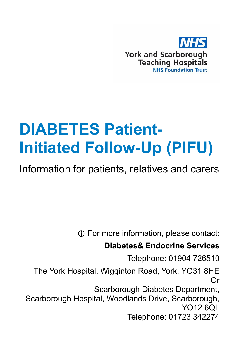

# **DIABETES Patient-Initiated Follow-Up (PIFU)**

Information for patients, relatives and carers

For more information, please contact:

#### **Diabetes& Endocrine Services**

Telephone: 01904 726510

The York Hospital, Wigginton Road, York, YO31 8HE Or Scarborough Diabetes Department, Scarborough Hospital, Woodlands Drive, Scarborough,

YO12 6QL Telephone: 01723 342274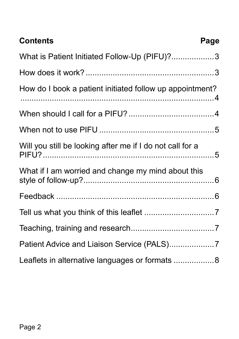| <b>Contents</b>                                           | Page |
|-----------------------------------------------------------|------|
| What is Patient Initiated Follow-Up (PIFU)?3              |      |
|                                                           |      |
| How do I book a patient initiated follow up appointment?  |      |
|                                                           |      |
|                                                           |      |
| Will you still be looking after me if I do not call for a |      |
| What if I am worried and change my mind about this        |      |
|                                                           |      |
|                                                           |      |
|                                                           |      |
| Patient Advice and Liaison Service (PALS)7                |      |
| Leaflets in alternative languages or formats 8            |      |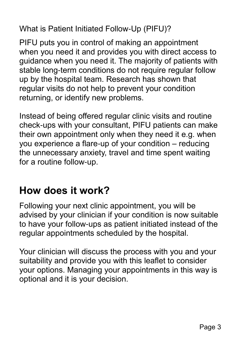<span id="page-2-0"></span>What is Patient Initiated Follow-Up (PIFU)?

PIFU puts you in control of making an appointment when you need it and provides you with direct access to guidance when you need it. The majority of patients with stable long-term conditions do not require regular follow up by the hospital team. Research has shown that regular visits do not help to prevent your condition returning, or identify new problems.

Instead of being offered regular clinic visits and routine check-ups with your consultant, PIFU patients can make their own appointment only when they need it e.g. when you experience a flare-up of your condition – reducing the unnecessary anxiety, travel and time spent waiting for a routine follow-up.

#### <span id="page-2-1"></span>**How does it work?**

Following your next clinic appointment, you will be advised by your clinician if your condition is now suitable to have your follow-ups as patient initiated instead of the regular appointments scheduled by the hospital.

<span id="page-2-2"></span>Your clinician will discuss the process with you and your suitability and provide you with this leaflet to consider your options. Managing your appointments in this way is optional and it is your decision.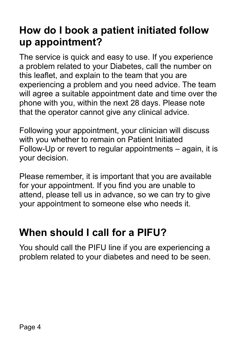## **How do I book a patient initiated follow up appointment?**

The service is quick and easy to use. If you experience a problem related to your Diabetes, call the number on this leaflet, and explain to the team that you are experiencing a problem and you need advice. The team will agree a suitable appointment date and time over the phone with you, within the next 28 days. Please note that the operator cannot give any clinical advice.

Following your appointment, your clinician will discuss with you whether to remain on Patient Initiated Follow-Up or revert to regular appointments – again, it is your decision.

Please remember, it is important that you are available for your appointment. If you find you are unable to attend, please tell us in advance, so we can try to give your appointment to someone else who needs it.

## <span id="page-3-0"></span>**When should I call for a PIFU?**

You should call the PIFU line if you are experiencing a problem related to your diabetes and need to be seen.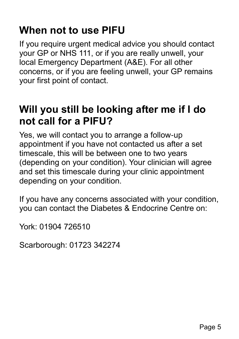#### <span id="page-4-0"></span>**When not to use PIFU**

If you require urgent medical advice you should contact your GP or NHS 111, or if you are really unwell, your local Emergency Department (A&E). For all other concerns, or if you are feeling unwell, your GP remains your first point of contact.

#### <span id="page-4-1"></span>**Will you still be looking after me if I do not call for a PIFU?**

Yes, we will contact you to arrange a follow-up appointment if you have not contacted us after a set timescale, this will be between one to two years (depending on your condition). Your clinician will agree and set this timescale during your clinic appointment depending on your condition.

If you have any concerns associated with your condition, you can contact the Diabetes & Endocrine Centre on:

York: 01904 726510

Scarborough: 01723 342274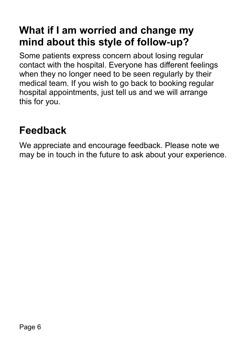## <span id="page-5-0"></span>**What if I am worried and change my mind about this style of follow-up?**

Some patients express concern about losing regular contact with the hospital. Everyone has different feelings when they no longer need to be seen regularly by their medical team. If you wish to go back to booking regular hospital appointments, just tell us and we will arrange this for you.

#### <span id="page-5-1"></span>**Feedback**

We appreciate and encourage feedback. Please note we may be in touch in the future to ask about your experience.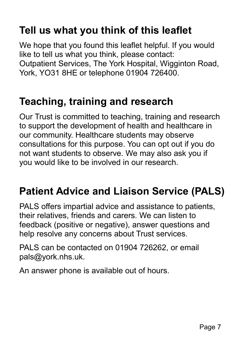# <span id="page-6-0"></span>**Tell us what you think of this leaflet**

We hope that you found this leaflet helpful. If you would like to tell us what you think, please contact: Outpatient Services, The York Hospital, Wigginton Road, York, YO31 8HE or telephone 01904 726400.

#### <span id="page-6-1"></span>**Teaching, training and research**

Our Trust is committed to teaching, training and research to support the development of health and healthcare in our community. Healthcare students may observe consultations for this purpose. You can opt out if you do not want students to observe. We may also ask you if you would like to be involved in our research.

## <span id="page-6-2"></span>**Patient Advice and Liaison Service (PALS)**

PALS offers impartial advice and assistance to patients, their relatives, friends and carers. We can listen to feedback (positive or negative), answer questions and help resolve any concerns about Trust services.

PALS can be contacted on 01904 726262, or email [pals@york.nhs.uk.](mailto:pals@york.nhs.uk)

An answer phone is available out of hours.